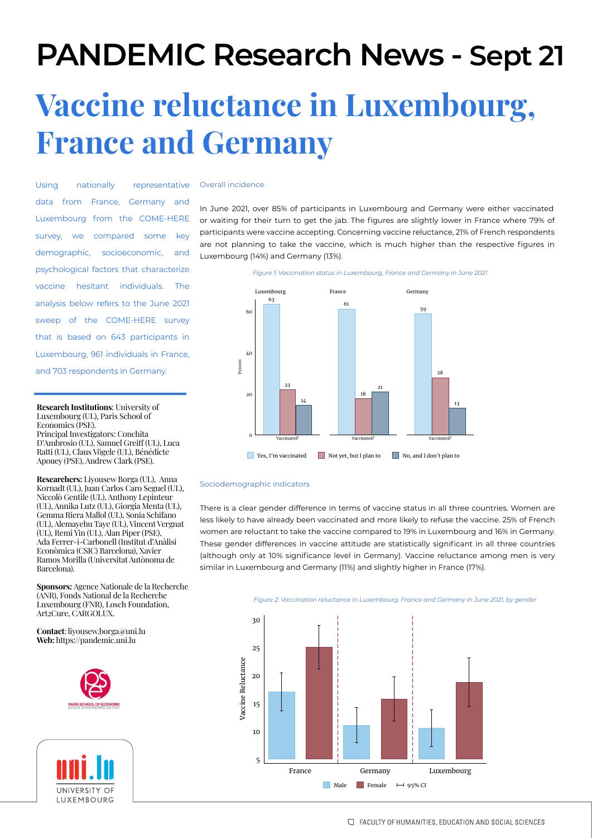## **PANDEMIC Research News - Sept 21**

# **Vaccine reluctance in Luxembourg, France and Germany**

Using nationally representative data from France, Germany and Luxembourg from the COME-HERE survey, we compared some key demographic, socioeconomic, and psychological factors that characterize vaccine hesitant individuals. The analysis below refers to the June 2021 sweep of the COME-HERE survey that is based on 643 participants in Luxembourg, 961 individuals in France, and 703 respondents in Germany.

## **Research Institutions**: University of Luxembourg (UL), Paris School of Economics (PSE).

Principal Investigators: Conchita D'Ambrosio (UL), Samuel Greiff (UL), Luca Ratti (UL), Claus Vögele (UL), Bénédicte Apouey (PSE), Andrew Clark (PSE).

**Researchers:** Liyousew Borga (UL), Anna Kornadt (UL), Juan Carlos Caro Seguel (UL), Niccolò Gentile (UL), Anthony Lepinteur (UL), Annika Lutz (UL), Giorgia Menta (UL), Gemma Riera Mallol (UL), Sonia Schifano (UL), Alemayehu Taye (UL), Vincent Vergnat (UL), Remi Yin (UL), Alan Piper (PSE), Ada Ferrer-i-Carbonell (Institut d'Anàlisi Econòmica (CSIC) Barcelona), Xavier Ramos Morilla (Universitat Autònoma de Barcelona).

**Sponsors:** Agence Nationale de la Recherche (ANR), Fonds National de la Recherche Luxembourg (FNR), Losch Foundation, Art2Cure, CARGOLUX.

**Contact**: liyousew.borga@uni.lu **Web:** https://pandemic.uni.lu





#### Overall incidence

In June 2021, over 85% of participants in Luxembourg and Germany were either vaccinated or waiting for their turn to get the jab. The figures are slightly lower in France where 79% of participants were vaccine accepting. Concerning vaccine reluctance, 21% of French respondents are not planning to take the vaccine, which is much higher than the respective figures in Luxembourg (14%) and Germany (13%).



## Sociodemographic indicators

There is a clear gender difference in terms of vaccine status in all three countries. Women are less likely to have already been vaccinated and more likely to refuse the vaccine. 25% of French women are reluctant to take the vaccine compared to 19% in Luxembourg and 16% in Germany. These gender differences in vaccine attitude are statistically significant in all three countries (although only at 10% significance level in Germany). Vaccine reluctance among men is very similar in Luxembourg and Germany (11%) and slightly higher in France (17%).



*Figure 2: Vaccination reluctance in Luxembourg, France and Germany in June 2021, by gender*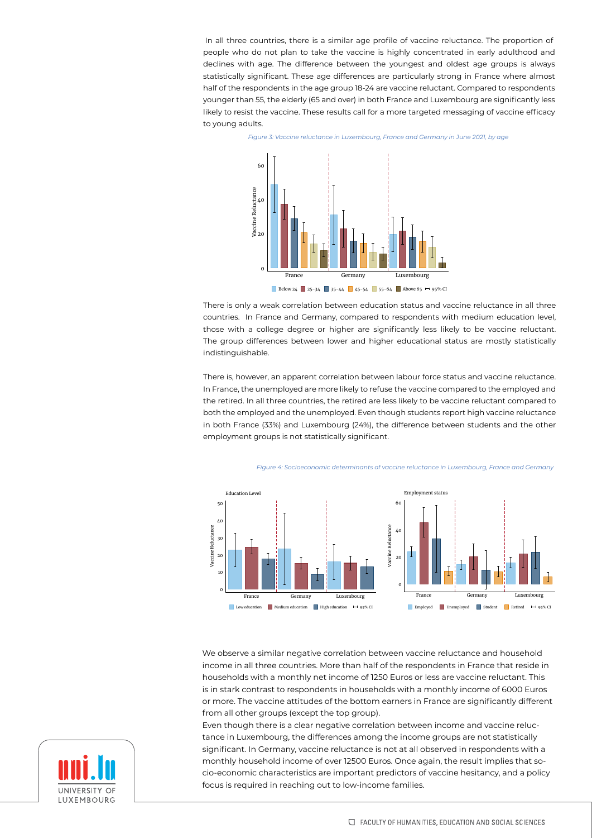In all three countries, there is a similar age profile of vaccine reluctance. The proportion of people who do not plan to take the vaccine is highly concentrated in early adulthood and declines with age. The difference between the youngest and oldest age groups is always statistically significant. These age differences are particularly strong in France where almost half of the respondents in the age group 18-24 are vaccine reluctant. Compared to respondents younger than 55, the elderly (65 and over) in both France and Luxembourg are significantly less likely to resist the vaccine. These results call for a more targeted messaging of vaccine efficacy to young adults.



*Figure 3: Vaccine reluctance in Luxembourg, France and Germany in June 2021, by age*

There is only a weak correlation between education status and vaccine reluctance in all three countries. In France and Germany, compared to respondents with medium education level, those with a college degree or higher are significantly less likely to be vaccine reluctant. The group differences between lower and higher educational status are mostly statistically indistinguishable.

There is, however, an apparent correlation between labour force status and vaccine reluctance. In France, the unemployed are more likely to refuse the vaccine compared to the employed and the retired. In all three countries, the retired are less likely to be vaccine reluctant compared to both the employed and the unemployed. Even though students report high vaccine reluctance in both France (33%) and Luxembourg (24%), the difference between students and the other employment groups is not statistically significant.



*Figure 4: Socioeconomic determinants of vaccine reluctance in Luxembourg, France and Germany*

We observe a similar negative correlation between vaccine reluctance and household income in all three countries. More than half of the respondents in France that reside in households with a monthly net income of 1250 Euros or less are vaccine reluctant. This is in stark contrast to respondents in households with a monthly income of 6000 Euros or more. The vaccine attitudes of the bottom earners in France are significantly different from all other groups (except the top group).

Even though there is a clear negative correlation between income and vaccine reluctance in Luxembourg, the differences among the income groups are not statistically significant. In Germany, vaccine reluctance is not at all observed in respondents with a monthly household income of over 12500 Euros. Once again, the result implies that socio-economic characteristics are important predictors of vaccine hesitancy, and a policy focus is required in reaching out to low-income families.